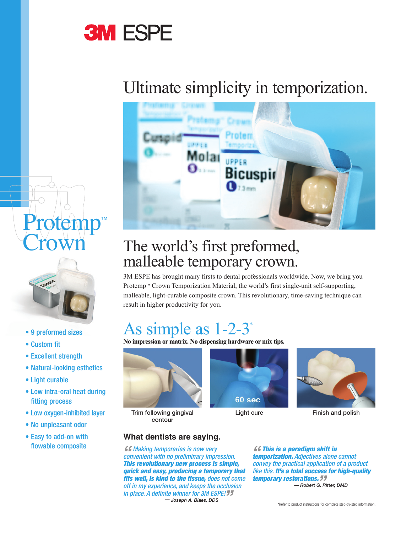# **3M ESPE**

## Ultimate simplicity in temporization.







- 9 preformed sizes
- Custom fit
- Excellent strength
- Natural-looking esthetics
- Light curable
- Low intra-oral heat during fitting process
- Low oxygen-inhibited layer
- No unpleasant odor
- Easy to add-on with flowable composite

### The world's first preformed, malleable temporary crown.

3M ESPE has brought many firsts to dental professionals worldwide. Now, we bring you Protemp™ Crown Temporization Material, the world's first single-unit self-supporting, malleable, light-curable composite crown. This revolutionary, time-saving technique can result in higher productivity for you.

### As simple as 1-2-3\*

**No impression or matrix. No dispensing hardware or mix tips.**



Trim following gingival contour





Light cure Finish and polish

#### **What dentists are saying.**

*ff Making temporaries is now very convenient with no preliminary impression. This revolutionary new process is simple, quick and easy, producing a temporary that fits well, is kind to the tissue, does not come off in my experience, and keeps the occlusion in place. A definite winner for 3M ESPE! " — Joseph A. Blaes, DDS* 

*" This is a paradigm shift in temporization. Adjectives alone cannot convey the practical application of a product like this. It's a total success for high-quality*  **temporary restorations. 77**<br>Robert G. Rimporary *— Robert G. Ritter, DMD*

\*Refer to product instructions for complete step-by-step information.